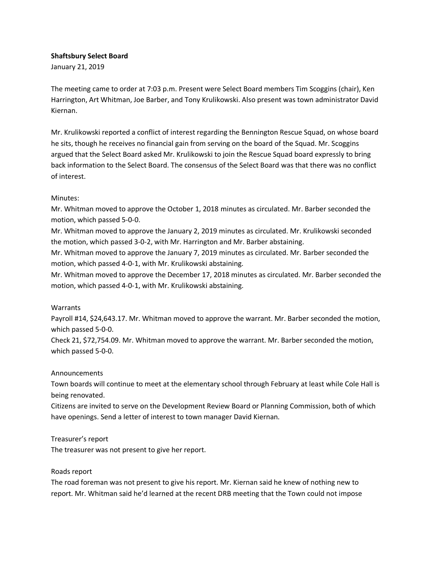### Shaftsbury Select Board

January 21, 2019

The meeting came to order at 7:03 p.m. Present were Select Board members Tim Scoggins (chair), Ken Harrington, Art Whitman, Joe Barber, and Tony Krulikowski. Also present was town administrator David Kiernan.

Mr. Krulikowski reported a conflict of interest regarding the Bennington Rescue Squad, on whose board he sits, though he receives no financial gain from serving on the board of the Squad. Mr. Scoggins argued that the Select Board asked Mr. Krulikowski to join the Rescue Squad board expressly to bring back information to the Select Board. The consensus of the Select Board was that there was no conflict of interest.

### Minutes:

Mr. Whitman moved to approve the October 1, 2018 minutes as circulated. Mr. Barber seconded the motion, which passed 5-0-0.

Mr. Whitman moved to approve the January 2, 2019 minutes as circulated. Mr. Krulikowski seconded the motion, which passed 3-0-2, with Mr. Harrington and Mr. Barber abstaining.

Mr. Whitman moved to approve the January 7, 2019 minutes as circulated. Mr. Barber seconded the motion, which passed 4-0-1, with Mr. Krulikowski abstaining.

Mr. Whitman moved to approve the December 17, 2018 minutes as circulated. Mr. Barber seconded the motion, which passed 4-0-1, with Mr. Krulikowski abstaining.

### Warrants

Payroll #14, \$24,643.17. Mr. Whitman moved to approve the warrant. Mr. Barber seconded the motion, which passed 5-0-0.

Check 21, \$72,754.09. Mr. Whitman moved to approve the warrant. Mr. Barber seconded the motion, which passed 5-0-0.

## Announcements

Town boards will continue to meet at the elementary school through February at least while Cole Hall is being renovated.

Citizens are invited to serve on the Development Review Board or Planning Commission, both of which have openings. Send a letter of interest to town manager David Kiernan.

Treasurer's report

The treasurer was not present to give her report.

### Roads report

The road foreman was not present to give his report. Mr. Kiernan said he knew of nothing new to report. Mr. Whitman said he'd learned at the recent DRB meeting that the Town could not impose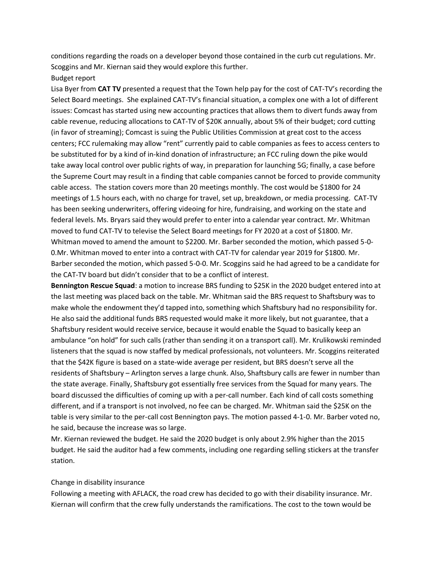conditions regarding the roads on a developer beyond those contained in the curb cut regulations. Mr. Scoggins and Mr. Kiernan said they would explore this further. Budget report

# Lisa Byer from CAT TV presented a request that the Town help pay for the cost of CAT-TV's recording the Select Board meetings. She explained CAT-TV's financial situation, a complex one with a lot of different issues: Comcast has started using new accounting practices that allows them to divert funds away from cable revenue, reducing allocations to CAT-TV of \$20K annually, about 5% of their budget; cord cutting (in favor of streaming); Comcast is suing the Public Utilities Commission at great cost to the access centers; FCC rulemaking may allow "rent" currently paid to cable companies as fees to access centers to be substituted for by a kind of in-kind donation of infrastructure; an FCC ruling down the pike would take away local control over public rights of way, in preparation for launching 5G; finally, a case before the Supreme Court may result in a finding that cable companies cannot be forced to provide community cable access. The station covers more than 20 meetings monthly. The cost would be \$1800 for 24 meetings of 1.5 hours each, with no charge for travel, set up, breakdown, or media processing. CAT-TV has been seeking underwriters, offering videoing for hire, fundraising, and working on the state and federal levels. Ms. Bryars said they would prefer to enter into a calendar year contract. Mr. Whitman moved to fund CAT-TV to televise the Select Board meetings for FY 2020 at a cost of \$1800. Mr. Whitman moved to amend the amount to \$2200. Mr. Barber seconded the motion, which passed 5-0- 0.Mr. Whitman moved to enter into a contract with CAT-TV for calendar year 2019 for \$1800. Mr. Barber seconded the motion, which passed 5-0-0. Mr. Scoggins said he had agreed to be a candidate for the CAT-TV board but didn't consider that to be a conflict of interest.

Bennington Rescue Squad: a motion to increase BRS funding to \$25K in the 2020 budget entered into at the last meeting was placed back on the table. Mr. Whitman said the BRS request to Shaftsbury was to make whole the endowment they'd tapped into, something which Shaftsbury had no responsibility for. He also said the additional funds BRS requested would make it more likely, but not guarantee, that a Shaftsbury resident would receive service, because it would enable the Squad to basically keep an ambulance "on hold" for such calls (rather than sending it on a transport call). Mr. Krulikowski reminded listeners that the squad is now staffed by medical professionals, not volunteers. Mr. Scoggins reiterated that the \$42K figure is based on a state-wide average per resident, but BRS doesn't serve all the residents of Shaftsbury – Arlington serves a large chunk. Also, Shaftsbury calls are fewer in number than the state average. Finally, Shaftsbury got essentially free services from the Squad for many years. The board discussed the difficulties of coming up with a per-call number. Each kind of call costs something different, and if a transport is not involved, no fee can be charged. Mr. Whitman said the \$25K on the table is very similar to the per-call cost Bennington pays. The motion passed 4-1-0. Mr. Barber voted no, he said, because the increase was so large.

Mr. Kiernan reviewed the budget. He said the 2020 budget is only about 2.9% higher than the 2015 budget. He said the auditor had a few comments, including one regarding selling stickers at the transfer station.

#### Change in disability insurance

Following a meeting with AFLACK, the road crew has decided to go with their disability insurance. Mr. Kiernan will confirm that the crew fully understands the ramifications. The cost to the town would be